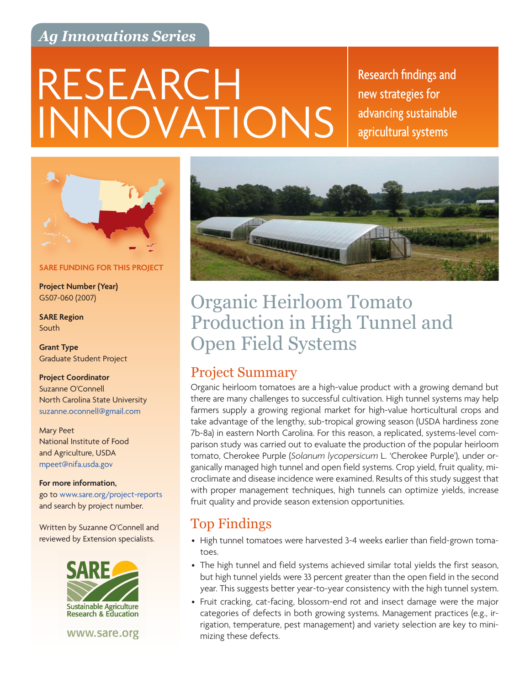## *Ag Innovations Series*

# INNOVATIONS RESEARCH Research findings and

new strategies for advancing sustainable agricultural systems



**SARE FUNDING FOR THIS PROJECT**

**Project Number (Year)** GS07-060 (2007)

**SARE Region** South

**Grant Type** Graduate Student Project

#### **Project Coordinator** Suzanne O'Connell

North Carolina State University [suzanne.oconnell@gmail.com](mailto:suzanne.oconnell%40gmail.com?subject=)

Mary Peet National Institute of Food and Agriculture, USDA [mpeet@nifa.usda.gov](mailto:mpeet%40nifa.usda.gov?subject=)

#### **For more information,**

go to [www.sare.org/project-reports](http://www.sare.org/project-reports) and search by project number.

Written by Suzanne O'Connell and reviewed by Extension specialists.



www.sare.org



## Organic Heirloom Tomato Production in High Tunnel and Open Field Systems

## Project Summary

Organic heirloom tomatoes are a high-value product with a growing demand but there are many challenges to successful cultivation. High tunnel systems may help farmers supply a growing regional market for high-value horticultural crops and take advantage of the lengthy, sub-tropical growing season (USDA hardiness zone 7b-8a) in eastern North Carolina. For this reason, a replicated, systems-level comparison study was carried out to evaluate the production of the popular heirloom tomato, Cherokee Purple (*Solanum lycopersicum* L. 'Cherokee Purple'), under organically managed high tunnel and open field systems. Crop yield, fruit quality, microclimate and disease incidence were examined. Results of this study suggest that with proper management techniques, high tunnels can optimize yields, increase fruit quality and provide season extension opportunities.

## Top Findings

- High tunnel tomatoes were harvested 3-4 weeks earlier than field-grown tomatoes.
- The high tunnel and field systems achieved similar total yields the first season, but high tunnel yields were 33 percent greater than the open field in the second year. This suggests better year-to-year consistency with the high tunnel system.
- Fruit cracking, cat-facing, blossom-end rot and insect damage were the major categories of defects in both growing systems. Management practices (e.g., irrigation, temperature, pest management) and variety selection are key to minimizing these defects.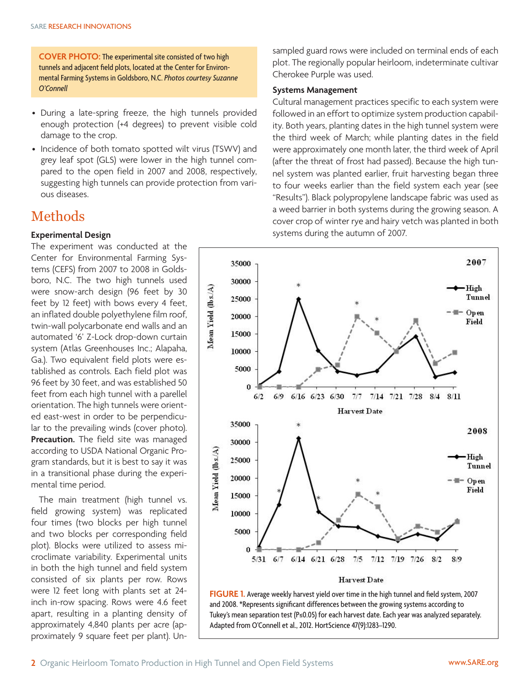**COVER PHOTO:** The experimental site consisted of two high tunnels and adjacent field plots, located at the Center for Environmental Farming Systems in Goldsboro, N.C. *Photos courtesy Suzanne O'Connell*

- During a late-spring freeze, the high tunnels provided enough protection (+4 degrees) to prevent visible cold damage to the crop.
- Incidence of both tomato spotted wilt virus (TSWV) and grey leaf spot (GLS) were lower in the high tunnel compared to the open field in 2007 and 2008, respectively, suggesting high tunnels can provide protection from various diseases.

## Methods

#### **Experimental Design**

The experiment was conducted at the Center for Environmental Farming Systems (CEFS) from 2007 to 2008 in Goldsboro, N.C. The two high tunnels used were snow-arch design (96 feet by 30 feet by 12 feet) with bows every 4 feet, an inflated double polyethylene film roof, twin-wall polycarbonate end walls and an automated '6' Z-Lock drop-down curtain system (Atlas Greenhouses Inc.; Alapaha, Ga.). Two equivalent field plots were established as controls. Each field plot was 96 feet by 30 feet, and was established 50 feet from each high tunnel with a parellel orientation. The high tunnels were oriented east-west in order to be perpendicular to the prevailing winds (cover photo). **Precaution.** The field site was managed according to USDA National Organic Program standards, but it is best to say it was in a transitional phase during the experimental time period.

The main treatment (high tunnel vs. field growing system) was replicated four times (two blocks per high tunnel and two blocks per corresponding field plot). Blocks were utilized to assess microclimate variability. Experimental units in both the high tunnel and field system consisted of six plants per row. Rows were 12 feet long with plants set at 24 inch in-row spacing. Rows were 4.6 feet apart, resulting in a planting density of approximately 4,840 plants per acre (approximately 9 square feet per plant). Unsampled guard rows were included on terminal ends of each plot. The regionally popular heirloom, indeterminate cultivar Cherokee Purple was used.

#### **Systems Management**

Cultural management practices specific to each system were followed in an effort to optimize system production capability. Both years, planting dates in the high tunnel system were the third week of March; while planting dates in the field were approximately one month later, the third week of April (after the threat of frost had passed). Because the high tunnel system was planted earlier, fruit harvesting began three to four weeks earlier than the field system each year (see "Results"). Black polypropylene landscape fabric was used as a weed barrier in both systems during the growing season. A cover crop of winter rye and hairy vetch was planted in both systems during the autumn of 2007.



and 2008. \*Represents significant differences between the growing systems according to Tukey's mean separation test (P≤0.05) for each harvest date. Each year was analyzed separately. Adapted from O'Connell et al., 2012. HortScience 47(9):1283–1290.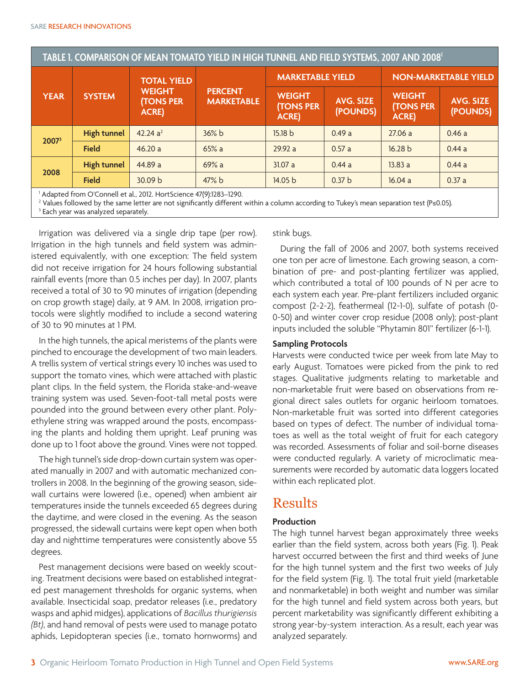| TABLE 1. COMPARISON OF MEAN TOMATO YIELD IN HIGH TUNNEL AND FIELD SYSTEMS, 2007 AND 2008 <sup>1</sup> |                    |                                                                         |                                     |                                                    |                              |                                                   |                              |
|-------------------------------------------------------------------------------------------------------|--------------------|-------------------------------------------------------------------------|-------------------------------------|----------------------------------------------------|------------------------------|---------------------------------------------------|------------------------------|
| <b>YEAR</b>                                                                                           | <b>SYSTEM</b>      | <b>TOTAL YIELD</b><br><b>WEIGHT</b><br><b>(TONS PER</b><br><b>ACRE)</b> | <b>PERCENT</b><br><b>MARKETABLE</b> | <b>MARKETABLE YIELD</b>                            |                              | <b>NON-MARKETABLE YIELD</b>                       |                              |
|                                                                                                       |                    |                                                                         |                                     | <b>WEIGHT</b><br><b>(TONS PER</b><br><b>ACRE</b> ) | <b>AVG. SIZE</b><br>(POUNDS) | <b>WEIGHT</b><br><b>(TONS PER</b><br><b>ACRE)</b> | <b>AVG. SIZE</b><br>(POUNDS) |
| 20073                                                                                                 | <b>High tunnel</b> | 42.24 a <sup>2</sup>                                                    | 36% b                               | 15.18 b                                            | 0.49a                        | 27.06a                                            | 0.46a                        |
|                                                                                                       | <b>Field</b>       | 46.20a                                                                  | 65%a                                | 29.92 a                                            | 0.57a                        | 16.28 b                                           | 0.44a                        |
| 2008                                                                                                  | <b>High tunnel</b> | 44.89 a                                                                 | 69%a                                | 31.07a                                             | 0.44a                        | 13.83a                                            | 0.44a                        |
|                                                                                                       | <b>Field</b>       | 30.09 b                                                                 | $47\%$ b                            | 14.05 b                                            | 0.37 <sub>b</sub>            | 16.04a                                            | 0.37a                        |
| $\lambda$ dented from $O/C$ onnell et al. 2012. HertCeienee 47(0):1202. 1200.                         |                    |                                                                         |                                     |                                                    |                              |                                                   |                              |

1 Adapted from O'Connell et al., 2012. HortScience 47(9):1283–1290.

2 Values followed by the same letter are not significantly different within a column according to Tukey's mean separation test (P≤0.05).

<sup>3</sup> Each year was analyzed separately.

Irrigation was delivered via a single drip tape (per row). Irrigation in the high tunnels and field system was administered equivalently, with one exception: The field system did not receive irrigation for 24 hours following substantial rainfall events (more than 0.5 inches per day). In 2007, plants received a total of 30 to 90 minutes of irrigation (depending on crop growth stage) daily, at 9 AM. In 2008, irrigation protocols were slightly modified to include a second watering of 30 to 90 minutes at 1 PM.

In the high tunnels, the apical meristems of the plants were pinched to encourage the development of two main leaders. A trellis system of vertical strings every 10 inches was used to support the tomato vines, which were attached with plastic plant clips. In the field system, the Florida stake-and-weave training system was used. Seven-foot-tall metal posts were pounded into the ground between every other plant. Polyethylene string was wrapped around the posts, encompassing the plants and holding them upright. Leaf pruning was done up to 1 foot above the ground. Vines were not topped.

The high tunnel's side drop-down curtain system was operated manually in 2007 and with automatic mechanized controllers in 2008. In the beginning of the growing season, sidewall curtains were lowered (i.e., opened) when ambient air temperatures inside the tunnels exceeded 65 degrees during the daytime, and were closed in the evening. As the season progressed, the sidewall curtains were kept open when both day and nighttime temperatures were consistently above 55 degrees.

Pest management decisions were based on weekly scouting. Treatment decisions were based on established integrated pest management thresholds for organic systems, when available. Insecticidal soap, predator releases (i.e., predatory wasps and aphid midges), applications of *Bacillus thurigiensis (Bt)*, and hand removal of pests were used to manage potato aphids, Lepidopteran species (i.e., tomato hornworms) and

stink bugs.

During the fall of 2006 and 2007, both systems received one ton per acre of limestone. Each growing season, a combination of pre- and post-planting fertilizer was applied, which contributed a total of 100 pounds of N per acre to each system each year. Pre-plant fertilizers included organic compost (2-2-2), feathermeal (12-1-0), sulfate of potash (0- 0-50) and winter cover crop residue (2008 only); post-plant inputs included the soluble "Phytamin 801" fertilizer (6-1-1).

#### **Sampling Protocols**

Harvests were conducted twice per week from late May to early August. Tomatoes were picked from the pink to red stages. Qualitative judgments relating to marketable and non-marketable fruit were based on observations from regional direct sales outlets for organic heirloom tomatoes. Non-marketable fruit was sorted into different categories based on types of defect. The number of individual tomatoes as well as the total weight of fruit for each category was recorded. Assessments of foliar and soil-borne diseases were conducted regularly. A variety of microclimatic measurements were recorded by automatic data loggers located within each replicated plot.

## Results

#### **Production**

The high tunnel harvest began approximately three weeks earlier than the field system, across both years (Fig. 1). Peak harvest occurred between the first and third weeks of June for the high tunnel system and the first two weeks of July for the field system (Fig. 1). The total fruit yield (marketable and nonmarketable) in both weight and number was similar for the high tunnel and field system across both years, but percent marketability was significantly different exhibiting a strong year-by-system interaction. As a result, each year was analyzed separately.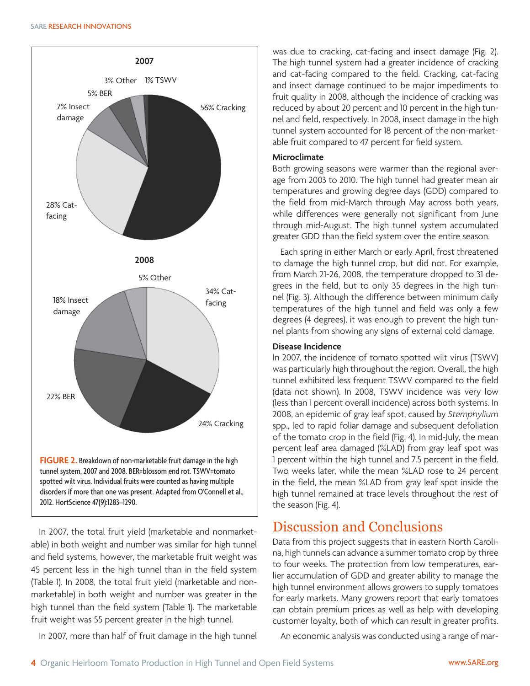

In 2007, the total fruit yield (marketable and nonmarketable) in both weight and number was similar for high tunnel and field systems, however, the marketable fruit weight was 45 percent less in the high tunnel than in the field system (Table 1). In 2008, the total fruit yield (marketable and nonmarketable) in both weight and number was greater in the high tunnel than the field system (Table 1). The marketable fruit weight was 55 percent greater in the high tunnel.

In 2007, more than half of fruit damage in the high tunnel

was due to cracking, cat-facing and insect damage (Fig. 2). The high tunnel system had a greater incidence of cracking and cat-facing compared to the field. Cracking, cat-facing and insect damage continued to be major impediments to fruit quality in 2008, although the incidence of cracking was reduced by about 20 percent and 10 percent in the high tunnel and field, respectively. In 2008, insect damage in the high tunnel system accounted for 18 percent of the non-marketable fruit compared to 47 percent for field system.

#### **Microclimate**

Both growing seasons were warmer than the regional average from 2003 to 2010. The high tunnel had greater mean air temperatures and growing degree days (GDD) compared to the field from mid-March through May across both years, while differences were generally not significant from June through mid-August. The high tunnel system accumulated greater GDD than the field system over the entire season.

Each spring in either March or early April, frost threatened to damage the high tunnel crop, but did not. For example, from March 21-26, 2008, the temperature dropped to 31 degrees in the field, but to only 35 degrees in the high tunnel (Fig. 3). Although the difference between minimum daily temperatures of the high tunnel and field was only a few degrees (4 degrees), it was enough to prevent the high tunnel plants from showing any signs of external cold damage.

#### **Disease Incidence**

In 2007, the incidence of tomato spotted wilt virus (TSWV) was particularly high throughout the region. Overall, the high tunnel exhibited less frequent TSWV compared to the field (data not shown). In 2008, TSWV incidence was very low (less than 1 percent overall incidence) across both systems. In 2008, an epidemic of gray leaf spot, caused by *Stemphylium*  spp., led to rapid foliar damage and subsequent defoliation of the tomato crop in the field (Fig. 4). In mid-July, the mean percent leaf area damaged (%LAD) from gray leaf spot was 1 percent within the high tunnel and 7.5 percent in the field. Two weeks later, while the mean %LAD rose to 24 percent in the field, the mean %LAD from gray leaf spot inside the high tunnel remained at trace levels throughout the rest of the season (Fig. 4).

## Discussion and Conclusions

Data from this project suggests that in eastern North Carolina, high tunnels can advance a summer tomato crop by three to four weeks. The protection from low temperatures, earlier accumulation of GDD and greater ability to manage the high tunnel environment allows growers to supply tomatoes for early markets. Many growers report that early tomatoes can obtain premium prices as well as help with developing customer loyalty, both of which can result in greater profits.

An economic analysis was conducted using a range of mar-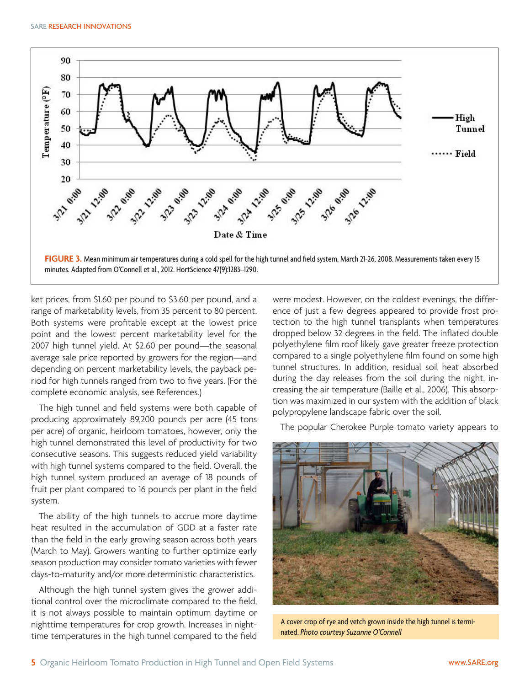

ket prices, from \$1.60 per pound to \$3.60 per pound, and a range of marketability levels, from 35 percent to 80 percent. Both systems were profitable except at the lowest price point and the lowest percent marketability level for the 2007 high tunnel yield. At \$2.60 per pound—the seasonal average sale price reported by growers for the region—and depending on percent marketability levels, the payback period for high tunnels ranged from two to five years. (For the complete economic analysis, see References.)

The high tunnel and field systems were both capable of producing approximately 89,200 pounds per acre (45 tons per acre) of organic, heirloom tomatoes, however, only the high tunnel demonstrated this level of productivity for two consecutive seasons. This suggests reduced yield variability with high tunnel systems compared to the field. Overall, the high tunnel system produced an average of 18 pounds of fruit per plant compared to 16 pounds per plant in the field system.

The ability of the high tunnels to accrue more daytime heat resulted in the accumulation of GDD at a faster rate than the field in the early growing season across both years (March to May). Growers wanting to further optimize early season production may consider tomato varieties with fewer days-to-maturity and/or more deterministic characteristics.

Although the high tunnel system gives the grower additional control over the microclimate compared to the field, it is not always possible to maintain optimum daytime or nighttime temperatures for crop growth. Increases in nighttime temperatures in the high tunnel compared to the field were modest. However, on the coldest evenings, the difference of just a few degrees appeared to provide frost protection to the high tunnel transplants when temperatures dropped below 32 degrees in the field. The inflated double polyethylene film roof likely gave greater freeze protection compared to a single polyethylene film found on some high tunnel structures. In addition, residual soil heat absorbed during the day releases from the soil during the night, increasing the air temperature (Baille et al., 2006). This absorption was maximized in our system with the addition of black polypropylene landscape fabric over the soil.

The popular Cherokee Purple tomato variety appears to



A cover crop of rye and vetch grown inside the high tunnel is terminated. *Photo courtesy Suzanne O'Connell*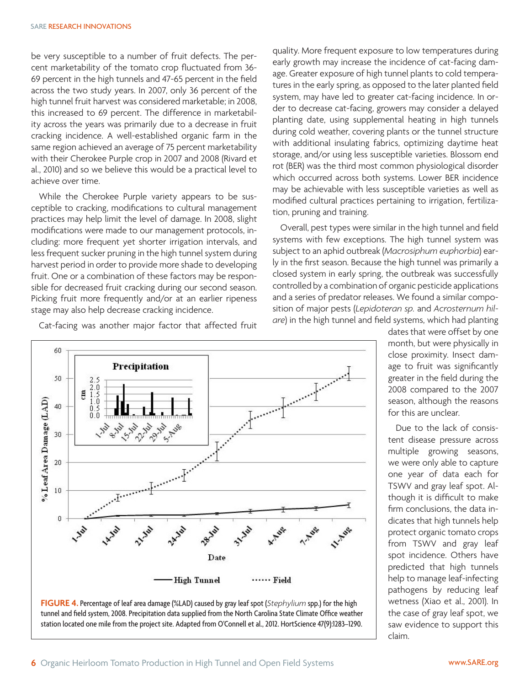be very susceptible to a number of fruit defects. The percent marketability of the tomato crop fluctuated from 36- 69 percent in the high tunnels and 47-65 percent in the field across the two study years. In 2007, only 36 percent of the high tunnel fruit harvest was considered marketable; in 2008, this increased to 69 percent. The difference in marketability across the years was primarily due to a decrease in fruit cracking incidence. A well-established organic farm in the same region achieved an average of 75 percent marketability with their Cherokee Purple crop in 2007 and 2008 (Rivard et al., 2010) and so we believe this would be a practical level to achieve over time.

While the Cherokee Purple variety appears to be susceptible to cracking, modifications to cultural management practices may help limit the level of damage. In 2008, slight modifications were made to our management protocols, including: more frequent yet shorter irrigation intervals, and less frequent sucker pruning in the high tunnel system during harvest period in order to provide more shade to developing fruit. One or a combination of these factors may be responsible for decreased fruit cracking during our second season. Picking fruit more frequently and/or at an earlier ripeness stage may also help decrease cracking incidence.

Cat-facing was another major factor that affected fruit



Overall, pest types were similar in the high tunnel and field systems with few exceptions. The high tunnel system was subject to an aphid outbreak (*Macrosiphum euphorbia*) early in the first season. Because the high tunnel was primarily a closed system in early spring, the outbreak was successfully controlled by a combination of organic pesticide applications and a series of predator releases. We found a similar composition of major pests (*Lepidoteran sp.* and *Acrosternum hilare*) in the high tunnel and field systems, which had planting





dates that were offset by one month, but were physically in close proximity. Insect damage to fruit was significantly greater in the field during the 2008 compared to the 2007 season, although the reasons for this are unclear.

Due to the lack of consistent disease pressure across multiple growing seasons, we were only able to capture one year of data each for TSWV and gray leaf spot. Although it is difficult to make firm conclusions, the data indicates that high tunnels help protect organic tomato crops from TSWV and gray leaf spot incidence. Others have predicted that high tunnels help to manage leaf-infecting pathogens by reducing leaf wetness (Xiao et al., 2001). In the case of gray leaf spot, we saw evidence to support this claim.